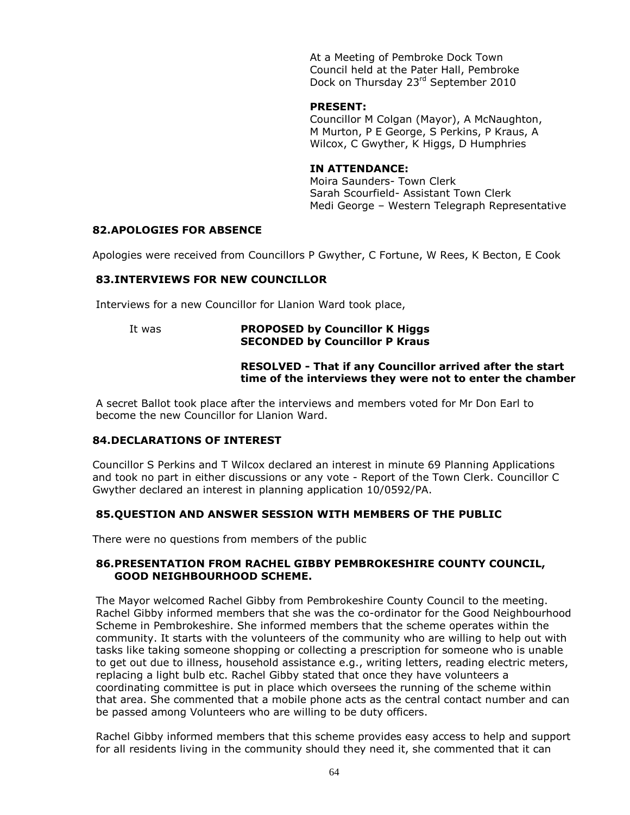At a Meeting of Pembroke Dock Town Council held at the Pater Hall, Pembroke Dock on Thursday 23<sup>rd</sup> September 2010

#### **PRESENT:**

Councillor M Colgan (Mayor), A McNaughton, M Murton, P E George, S Perkins, P Kraus, A Wilcox, C Gwyther, K Higgs, D Humphries

### **IN ATTENDANCE:**

Moira Saunders- Town Clerk Sarah Scourfield- Assistant Town Clerk Medi George – Western Telegraph Representative

### **82.APOLOGIES FOR ABSENCE**

Apologies were received from Councillors P Gwyther, C Fortune, W Rees, K Becton, E Cook

# **83.INTERVIEWS FOR NEW COUNCILLOR**

Interviews for a new Councillor for Llanion Ward took place,

# It was **PROPOSED by Councillor K Higgs SECONDED by Councillor P Kraus**

#### **RESOLVED - That if any Councillor arrived after the start time of the interviews they were not to enter the chamber**

A secret Ballot took place after the interviews and members voted for Mr Don Earl to become the new Councillor for Llanion Ward.

### **84.DECLARATIONS OF INTEREST**

Councillor S Perkins and T Wilcox declared an interest in minute 69 Planning Applications and took no part in either discussions or any vote - Report of the Town Clerk. Councillor C Gwyther declared an interest in planning application 10/0592/PA.

### **85.QUESTION AND ANSWER SESSION WITH MEMBERS OF THE PUBLIC**

There were no questions from members of the public

### **86.PRESENTATION FROM RACHEL GIBBY PEMBROKESHIRE COUNTY COUNCIL, GOOD NEIGHBOURHOOD SCHEME.**

The Mayor welcomed Rachel Gibby from Pembrokeshire County Council to the meeting. Rachel Gibby informed members that she was the co-ordinator for the Good Neighbourhood Scheme in Pembrokeshire. She informed members that the scheme operates within the community. It starts with the volunteers of the community who are willing to help out with tasks like taking someone shopping or collecting a prescription for someone who is unable to get out due to illness, household assistance e.g., writing letters, reading electric meters, replacing a light bulb etc. Rachel Gibby stated that once they have volunteers a coordinating committee is put in place which oversees the running of the scheme within that area. She commented that a mobile phone acts as the central contact number and can be passed among Volunteers who are willing to be duty officers.

Rachel Gibby informed members that this scheme provides easy access to help and support for all residents living in the community should they need it, she commented that it can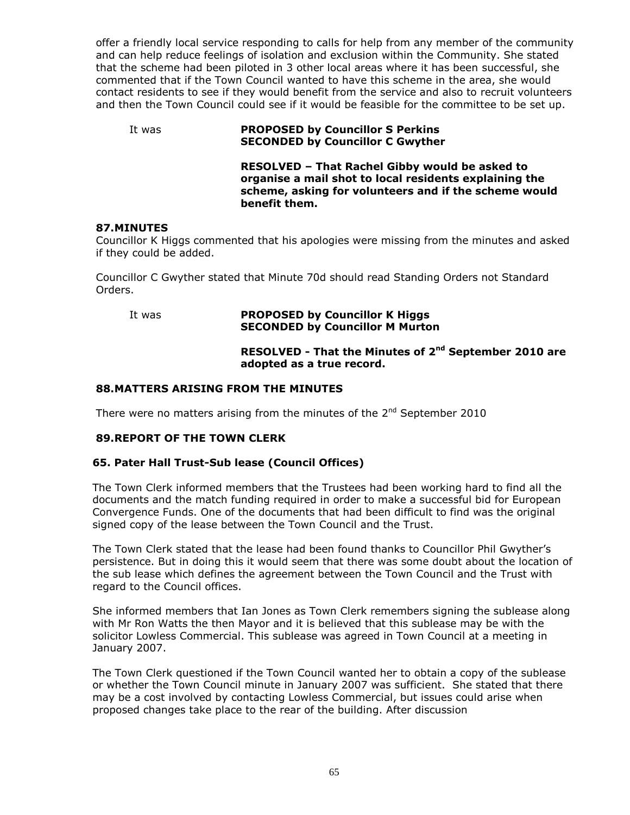offer a friendly local service responding to calls for help from any member of the community and can help reduce feelings of isolation and exclusion within the Community. She stated that the scheme had been piloted in 3 other local areas where it has been successful, she commented that if the Town Council wanted to have this scheme in the area, she would contact residents to see if they would benefit from the service and also to recruit volunteers and then the Town Council could see if it would be feasible for the committee to be set up.

### It was **PROPOSED by Councillor S Perkins SECONDED by Councillor C Gwyther**

**RESOLVED – That Rachel Gibby would be asked to organise a mail shot to local residents explaining the scheme, asking for volunteers and if the scheme would benefit them.**

### **87.MINUTES**

Councillor K Higgs commented that his apologies were missing from the minutes and asked if they could be added.

Councillor C Gwyther stated that Minute 70d should read Standing Orders not Standard Orders.

### It was **PROPOSED by Councillor K Higgs SECONDED by Councillor M Murton**

### **RESOLVED - That the Minutes of 2<sup>nd</sup> September 2010 are adopted as a true record.**

### **88.MATTERS ARISING FROM THE MINUTES**

There were no matters arising from the minutes of the 2<sup>nd</sup> September 2010

### **89.REPORT OF THE TOWN CLERK**

### **65. Pater Hall Trust-Sub lease (Council Offices)**

The Town Clerk informed members that the Trustees had been working hard to find all the documents and the match funding required in order to make a successful bid for European Convergence Funds. One of the documents that had been difficult to find was the original signed copy of the lease between the Town Council and the Trust.

The Town Clerk stated that the lease had been found thanks to Councillor Phil Gwyther's persistence. But in doing this it would seem that there was some doubt about the location of the sub lease which defines the agreement between the Town Council and the Trust with regard to the Council offices.

She informed members that Ian Jones as Town Clerk remembers signing the sublease along with Mr Ron Watts the then Mayor and it is believed that this sublease may be with the solicitor Lowless Commercial. This sublease was agreed in Town Council at a meeting in January 2007.

The Town Clerk questioned if the Town Council wanted her to obtain a copy of the sublease or whether the Town Council minute in January 2007 was sufficient. She stated that there may be a cost involved by contacting Lowless Commercial, but issues could arise when proposed changes take place to the rear of the building. After discussion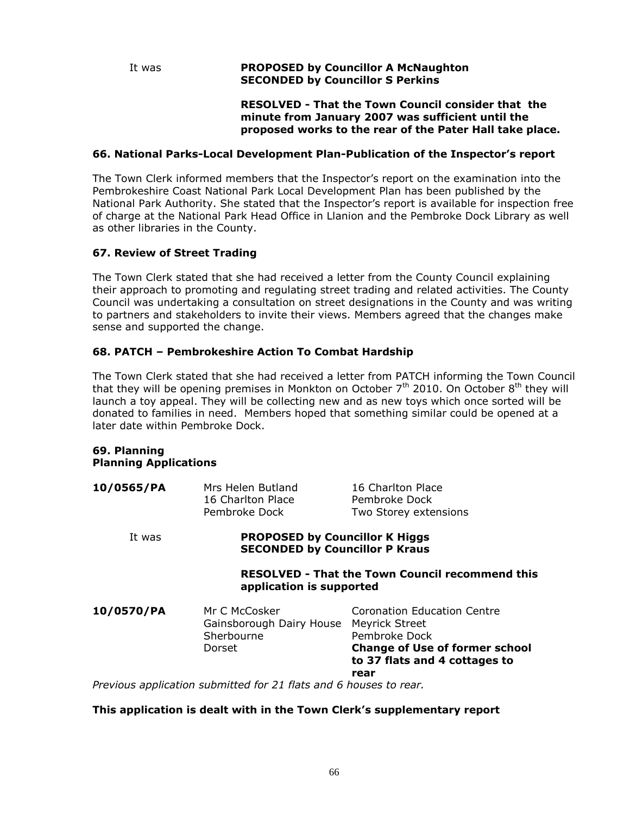# It was **PROPOSED by Councillor A McNaughton SECONDED by Councillor S Perkins**

**RESOLVED - That the Town Council consider that the minute from January 2007 was sufficient until the proposed works to the rear of the Pater Hall take place.**

#### **66. National Parks-Local Development Plan-Publication of the Inspector's report**

The Town Clerk informed members that the Inspector's report on the examination into the Pembrokeshire Coast National Park Local Development Plan has been published by the National Park Authority. She stated that the Inspector's report is available for inspection free of charge at the National Park Head Office in Llanion and the Pembroke Dock Library as well as other libraries in the County.

# **67. Review of Street Trading**

The Town Clerk stated that she had received a letter from the County Council explaining their approach to promoting and regulating street trading and related activities. The County Council was undertaking a consultation on street designations in the County and was writing to partners and stakeholders to invite their views. Members agreed that the changes make sense and supported the change.

### **68. PATCH – Pembrokeshire Action To Combat Hardship**

The Town Clerk stated that she had received a letter from PATCH informing the Town Council that they will be opening premises in Monkton on October  $7<sup>th</sup>$  2010. On October  $8<sup>th</sup>$  they will launch a toy appeal. They will be collecting new and as new toys which once sorted will be donated to families in need. Members hoped that something similar could be opened at a later date within Pembroke Dock.

#### **69. Planning Planning Applications**

| 10/0565/PA                                                                         | Mrs Helen Butland<br>16 Charlton Place<br>Pembroke Dock                        | 16 Charlton Place<br>Pembroke Dock<br>Two Storey extensions                                                                                             |
|------------------------------------------------------------------------------------|--------------------------------------------------------------------------------|---------------------------------------------------------------------------------------------------------------------------------------------------------|
| It was                                                                             | <b>PROPOSED by Councillor K Higgs</b><br><b>SECONDED by Councillor P Kraus</b> |                                                                                                                                                         |
| <b>RESOLVED - That the Town Council recommend this</b><br>application is supported |                                                                                |                                                                                                                                                         |
| 10/0570/PA                                                                         | Mr C McCosker<br>Gainsborough Dairy House<br>Sherbourne<br>Dorset              | Coronation Education Centre<br><b>Meyrick Street</b><br>Pembroke Dock<br><b>Change of Use of former school</b><br>to 37 flats and 4 cottages to<br>rear |
|                                                                                    | Previous application submitted for 21 flats and 6 houses to rear.              |                                                                                                                                                         |

### **This application is dealt with in the Town Clerk's supplementary report**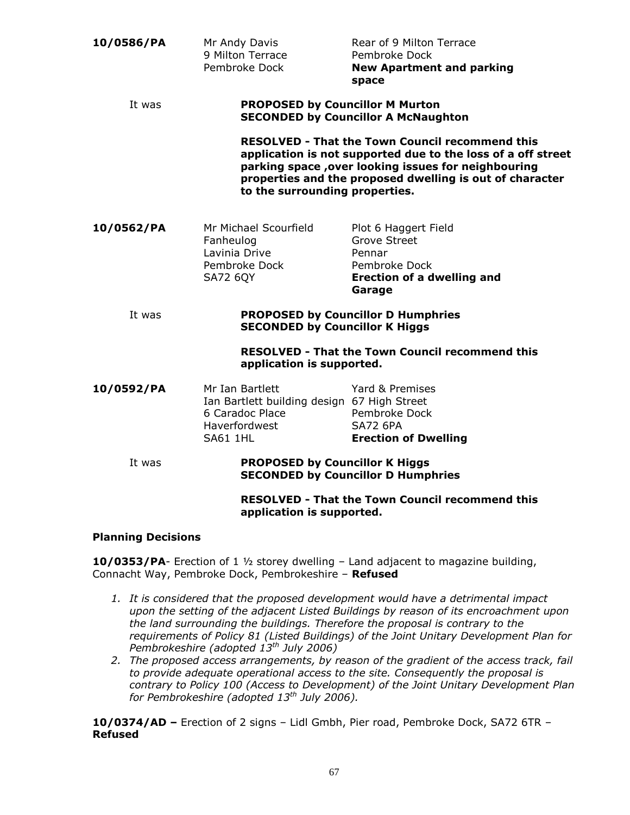| 10/0586/PA                                                                          | Mr Andy Davis<br>9 Milton Terrace<br>Pembroke Dock                                                                    | Rear of 9 Milton Terrace<br>Pembroke Dock<br><b>New Apartment and parking</b><br>space                                                                                                                                                    |  |
|-------------------------------------------------------------------------------------|-----------------------------------------------------------------------------------------------------------------------|-------------------------------------------------------------------------------------------------------------------------------------------------------------------------------------------------------------------------------------------|--|
| It was                                                                              |                                                                                                                       | <b>PROPOSED by Councillor M Murton</b><br><b>SECONDED by Councillor A McNaughton</b>                                                                                                                                                      |  |
|                                                                                     | to the surrounding properties.                                                                                        | <b>RESOLVED - That the Town Council recommend this</b><br>application is not supported due to the loss of a off street<br>parking space, over looking issues for neighbouring<br>properties and the proposed dwelling is out of character |  |
| 10/0562/PA                                                                          | Mr Michael Scourfield<br>Fanheulog<br>Lavinia Drive<br>Pembroke Dock<br><b>SA72 6QY</b>                               | Plot 6 Haggert Field<br>Grove Street<br>Pennar<br>Pembroke Dock<br><b>Erection of a dwelling and</b><br>Garage                                                                                                                            |  |
| It was                                                                              | <b>SECONDED by Councillor K Higgs</b>                                                                                 | <b>PROPOSED by Councillor D Humphries</b>                                                                                                                                                                                                 |  |
| <b>RESOLVED - That the Town Council recommend this</b><br>application is supported. |                                                                                                                       |                                                                                                                                                                                                                                           |  |
| 10/0592/PA                                                                          | Mr Ian Bartlett<br>Ian Bartlett building design 67 High Street<br>6 Caradoc Place<br><b>Haverfordwest</b><br>SA61 1HL | Yard & Premises<br>Pembroke Dock<br><b>SA72 6PA</b><br><b>Erection of Dwelling</b>                                                                                                                                                        |  |
| It was                                                                              | <b>PROPOSED by Councillor K Higgs</b>                                                                                 | <b>SECONDED by Councillor D Humphries</b>                                                                                                                                                                                                 |  |
|                                                                                     | application is supported.                                                                                             | <b>RESOLVED - That the Town Council recommend this</b>                                                                                                                                                                                    |  |

#### **Planning Decisions**

**10/0353/PA**- Erection of 1 ½ storey dwelling – Land adjacent to magazine building, Connacht Way, Pembroke Dock, Pembrokeshire – **Refused**

- *1. It is considered that the proposed development would have a detrimental impact upon the setting of the adjacent Listed Buildings by reason of its encroachment upon the land surrounding the buildings. Therefore the proposal is contrary to the requirements of Policy 81 (Listed Buildings) of the Joint Unitary Development Plan for Pembrokeshire (adopted 13th July 2006)*
- *2. The proposed access arrangements, by reason of the gradient of the access track, fail to provide adequate operational access to the site. Consequently the proposal is contrary to Policy 100 (Access to Development) of the Joint Unitary Development Plan for Pembrokeshire (adopted 13th July 2006).*

**10/0374/AD –** Erection of 2 signs – Lidl Gmbh, Pier road, Pembroke Dock, SA72 6TR – **Refused**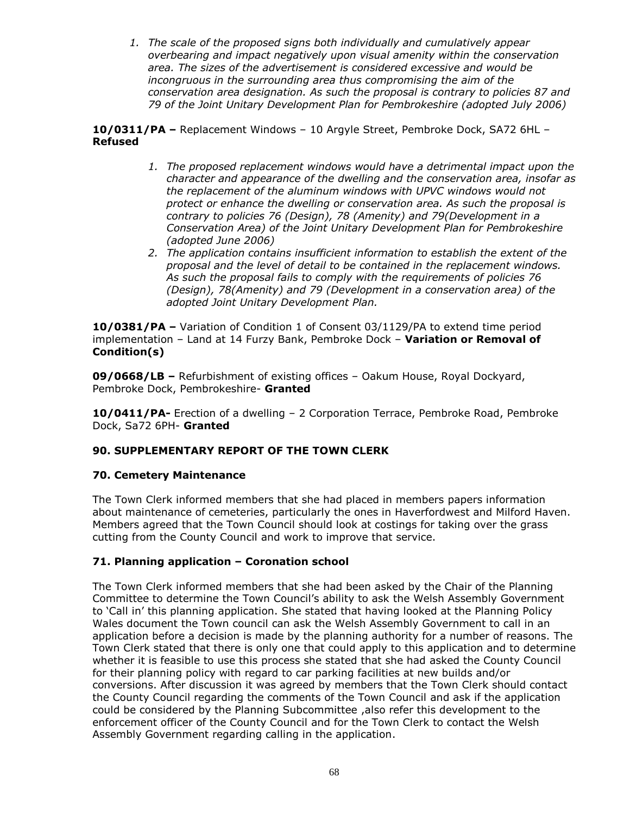*1. The scale of the proposed signs both individually and cumulatively appear overbearing and impact negatively upon visual amenity within the conservation area. The sizes of the advertisement is considered excessive and would be incongruous in the surrounding area thus compromising the aim of the conservation area designation. As such the proposal is contrary to policies 87 and 79 of the Joint Unitary Development Plan for Pembrokeshire (adopted July 2006)*

**10/0311/PA –** Replacement Windows – 10 Argyle Street, Pembroke Dock, SA72 6HL – **Refused**

- *1. The proposed replacement windows would have a detrimental impact upon the character and appearance of the dwelling and the conservation area, insofar as the replacement of the aluminum windows with UPVC windows would not protect or enhance the dwelling or conservation area. As such the proposal is contrary to policies 76 (Design), 78 (Amenity) and 79(Development in a Conservation Area) of the Joint Unitary Development Plan for Pembrokeshire (adopted June 2006)*
- *2. The application contains insufficient information to establish the extent of the proposal and the level of detail to be contained in the replacement windows. As such the proposal fails to comply with the requirements of policies 76 (Design), 78(Amenity) and 79 (Development in a conservation area) of the adopted Joint Unitary Development Plan.*

**10/0381/PA –** Variation of Condition 1 of Consent 03/1129/PA to extend time period implementation – Land at 14 Furzy Bank, Pembroke Dock – **Variation or Removal of Condition(s)**

**09/0668/LB –** Refurbishment of existing offices – Oakum House, Royal Dockyard, Pembroke Dock, Pembrokeshire- **Granted**

**10/0411/PA-** Erection of a dwelling – 2 Corporation Terrace, Pembroke Road, Pembroke Dock, Sa72 6PH- **Granted**

# **90. SUPPLEMENTARY REPORT OF THE TOWN CLERK**

### **70. Cemetery Maintenance**

The Town Clerk informed members that she had placed in members papers information about maintenance of cemeteries, particularly the ones in Haverfordwest and Milford Haven. Members agreed that the Town Council should look at costings for taking over the grass cutting from the County Council and work to improve that service.

### **71. Planning application – Coronation school**

The Town Clerk informed members that she had been asked by the Chair of the Planning Committee to determine the Town Council's ability to ask the Welsh Assembly Government to 'Call in' this planning application. She stated that having looked at the Planning Policy Wales document the Town council can ask the Welsh Assembly Government to call in an application before a decision is made by the planning authority for a number of reasons. The Town Clerk stated that there is only one that could apply to this application and to determine whether it is feasible to use this process she stated that she had asked the County Council for their planning policy with regard to car parking facilities at new builds and/or conversions. After discussion it was agreed by members that the Town Clerk should contact the County Council regarding the comments of the Town Council and ask if the application could be considered by the Planning Subcommittee ,also refer this development to the enforcement officer of the County Council and for the Town Clerk to contact the Welsh Assembly Government regarding calling in the application.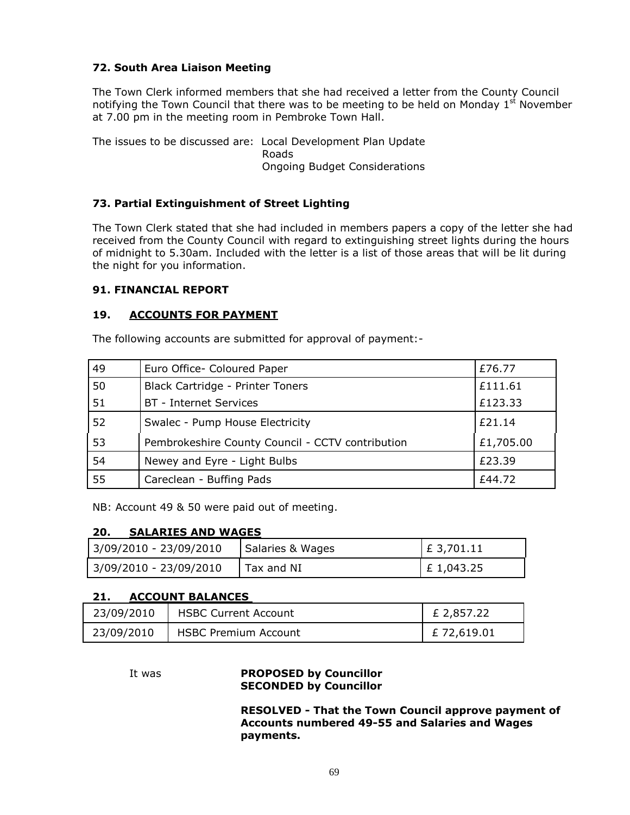# **72. South Area Liaison Meeting**

The Town Clerk informed members that she had received a letter from the County Council notifying the Town Council that there was to be meeting to be held on Monday  $1<sup>st</sup>$  November at 7.00 pm in the meeting room in Pembroke Town Hall.

The issues to be discussed are: Local Development Plan Update Roads Ongoing Budget Considerations

### **73. Partial Extinguishment of Street Lighting**

The Town Clerk stated that she had included in members papers a copy of the letter she had received from the County Council with regard to extinguishing street lights during the hours of midnight to 5.30am. Included with the letter is a list of those areas that will be lit during the night for you information.

#### **91. FINANCIAL REPORT**

### **19. ACCOUNTS FOR PAYMENT**

The following accounts are submitted for approval of payment:-

| 49 | Euro Office- Coloured Paper                      | £76.77    |
|----|--------------------------------------------------|-----------|
| 50 | Black Cartridge - Printer Toners                 | £111.61   |
| 51 | <b>BT</b> - Internet Services                    | £123.33   |
| 52 | Swalec - Pump House Electricity                  | $f$ 21.14 |
| 53 | Pembrokeshire County Council - CCTV contribution | £1,705.00 |
| 54 | Newey and Eyre - Light Bulbs                     | £23.39    |
| 55 | Careclean - Buffing Pads                         | £44.72    |

NB: Account 49 & 50 were paid out of meeting.

### **20. SALARIES AND WAGES**

| 3/09/2010 - 23/09/2010 | Salaries & Wages | $E$ 3,701.11  |
|------------------------|------------------|---------------|
| 3/09/2010 - 23/09/2010 | Tax and NI       | $E_1, 043.25$ |

### **21. ACCOUNT BALANCES**

| 23/09/2010 | <b>HSBC Current Account</b> | £ 2,857.22  |
|------------|-----------------------------|-------------|
| 23/09/2010 | <b>HSBC Premium Account</b> | £ 72,619.01 |

### It was **PROPOSED by Councillor SECONDED by Councillor**

**RESOLVED - That the Town Council approve payment of Accounts numbered 49-55 and Salaries and Wages payments.**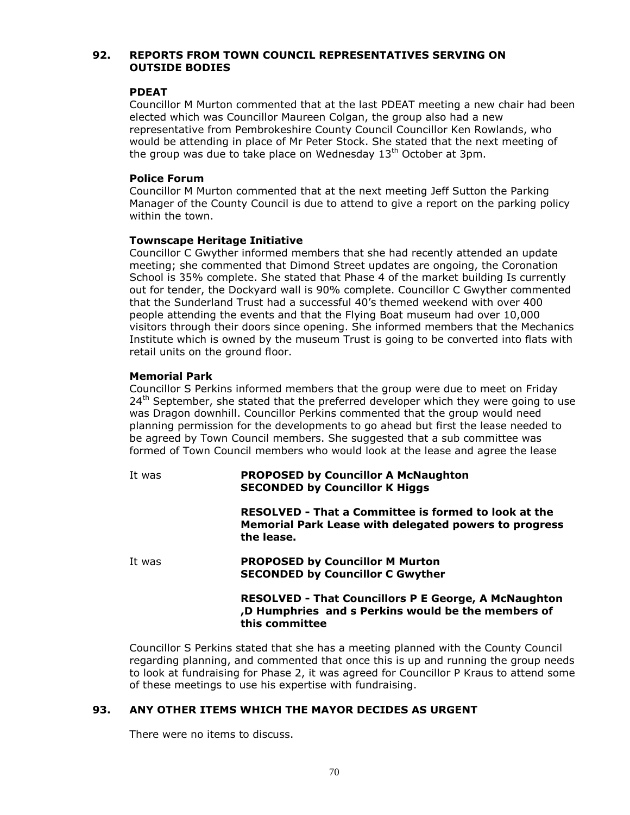### **92. REPORTS FROM TOWN COUNCIL REPRESENTATIVES SERVING ON OUTSIDE BODIES**

### **PDEAT**

Councillor M Murton commented that at the last PDEAT meeting a new chair had been elected which was Councillor Maureen Colgan, the group also had a new representative from Pembrokeshire County Council Councillor Ken Rowlands, who would be attending in place of Mr Peter Stock. She stated that the next meeting of the group was due to take place on Wednesday  $13<sup>th</sup>$  October at 3pm.

# **Police Forum**

Councillor M Murton commented that at the next meeting Jeff Sutton the Parking Manager of the County Council is due to attend to give a report on the parking policy within the town.

# **Townscape Heritage Initiative**

Councillor C Gwyther informed members that she had recently attended an update meeting; she commented that Dimond Street updates are ongoing, the Coronation School is 35% complete. She stated that Phase 4 of the market building Is currently out for tender, the Dockyard wall is 90% complete. Councillor C Gwyther commented that the Sunderland Trust had a successful 40's themed weekend with over 400 people attending the events and that the Flying Boat museum had over 10,000 visitors through their doors since opening. She informed members that the Mechanics Institute which is owned by the museum Trust is going to be converted into flats with retail units on the ground floor.

### **Memorial Park**

Councillor S Perkins informed members that the group were due to meet on Friday  $24<sup>th</sup>$  September, she stated that the preferred developer which they were going to use was Dragon downhill. Councillor Perkins commented that the group would need planning permission for the developments to go ahead but first the lease needed to be agreed by Town Council members. She suggested that a sub committee was formed of Town Council members who would look at the lease and agree the lease

| It was | <b>PROPOSED by Councillor A McNaughton</b><br><b>SECONDED by Councillor K Higgs</b>                                                 |
|--------|-------------------------------------------------------------------------------------------------------------------------------------|
|        | RESOLVED - That a Committee is formed to look at the<br><b>Memorial Park Lease with delegated powers to progress</b><br>the lease.  |
| It was | <b>PROPOSED by Councillor M Murton</b><br><b>SECONDED by Councillor C Gwyther</b>                                                   |
|        | <b>RESOLVED - That Councillors P E George, A McNaughton</b><br>,D Humphries and s Perkins would be the members of<br>this committee |
|        | Councillor S Perkins stated that she has a meeting planned with the County Council                                                  |

Councillor S Perkins stated that she has a meeting planned with the County Council regarding planning, and commented that once this is up and running the group needs to look at fundraising for Phase 2, it was agreed for Councillor P Kraus to attend some of these meetings to use his expertise with fundraising.

# **93. ANY OTHER ITEMS WHICH THE MAYOR DECIDES AS URGENT**

There were no items to discuss.